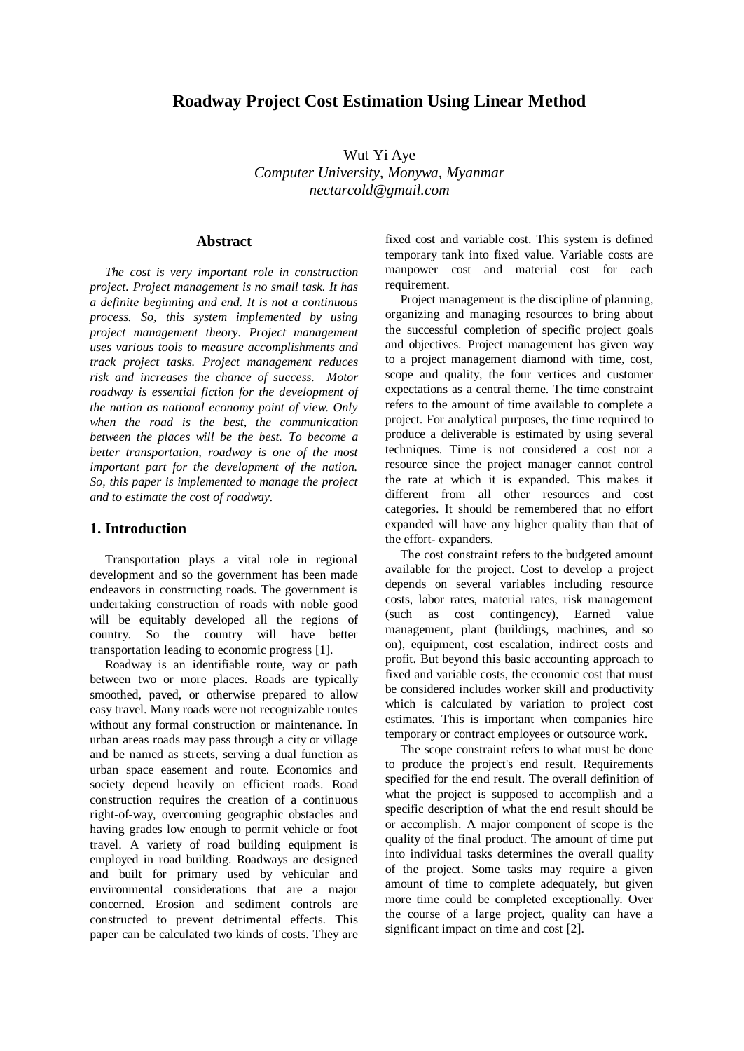# **Roadway Project Cost Estimation Using Linear Method**

Wut Yi Aye *Computer University, Monywa, Myanmar [nectarcold@gmail.com](mailto:nectarcold@gmail.com)*

### **Abstract**

*The cost is very important role in construction project. Project management is no small task. It has a definite beginning and end. It is not a continuous process. So, this system implemented by using project management theory. Project management uses various tools to measure accomplishments and track project tasks. Project management reduces risk and increases the chance of success. Motor roadway is essential fiction for the development of the nation as national economy point of view. Only when the road is the best, the communication between the places will be the best. To become a better transportation, roadway is one of the most important part for the development of the nation. So, this paper is implemented to manage the project and to estimate the cost of roadway.* 

## **1. Introduction**

Transportation plays a vital role in regional development and so the government has been made endeavors in constructing roads. The government is undertaking construction of roads with noble good will be equitably developed all the regions of country. So the country will have better transportation leading to economic progress [1].

Roadway is an identifiable route, way or path between two or more places. Roads are typically smoothed, paved, or otherwise prepared to allow easy travel. Many roads were not recognizable routes without any formal construction or maintenance. In urban areas roads may pass through a city or village and be named as streets, serving a dual function as urban space easement and route. Economics and society depend heavily on efficient roads. Road construction requires the creation of a continuous right-of-way, overcoming geographic obstacles and having grades low enough to permit vehicle or foot travel. A variety of road building equipment is employed in road building. Roadways are designed and built for primary used by vehicular and environmental considerations that are a major concerned. Erosion and sediment controls are constructed to prevent detrimental effects. This paper can be calculated two kinds of costs. They are fixed cost and variable cost. This system is defined temporary tank into fixed value. Variable costs are manpower cost and material cost for each requirement.

Project management is the discipline of planning, organizing and managing resources to bring about the successful completion of specific project goals and objectives. Project management has given way to a project management diamond with time, cost, scope and quality, the four vertices and customer expectations as a central theme. The time constraint refers to the amount of time available to complete a project. For analytical purposes, the time required to produce a deliverable is estimated by using several techniques. Time is not considered a cost nor a resource since the project manager cannot control the rate at which it is expanded. This makes it different from all other resources and cost categories. It should be remembered that no effort expanded will have any higher quality than that of the effort- expanders.

The cost constraint refers to the budgeted amount available for the project. Cost to develop a project depends on several variables including resource costs, labor rates, material rates, risk management (such as cost contingency), Earned value management, plant (buildings, machines, and so on), equipment, cost escalation, indirect costs and profit. But beyond this basic accounting approach to fixed and variable costs, the economic cost that must be considered includes worker skill and productivity which is calculated by variation to project cost estimates. This is important when companies hire temporary or contract employees or outsource work.

The scope constraint refers to what must be done to produce the project's end result. Requirements specified for the end result. The overall definition of what the project is supposed to accomplish and a specific description of what the end result should be or accomplish. A major component of scope is the quality of the final product. The amount of time put into individual tasks determines the overall quality of the project. Some tasks may require a given amount of time to complete adequately, but given more time could be completed exceptionally. Over the course of a large project, quality can have a significant impact on time and cost [2].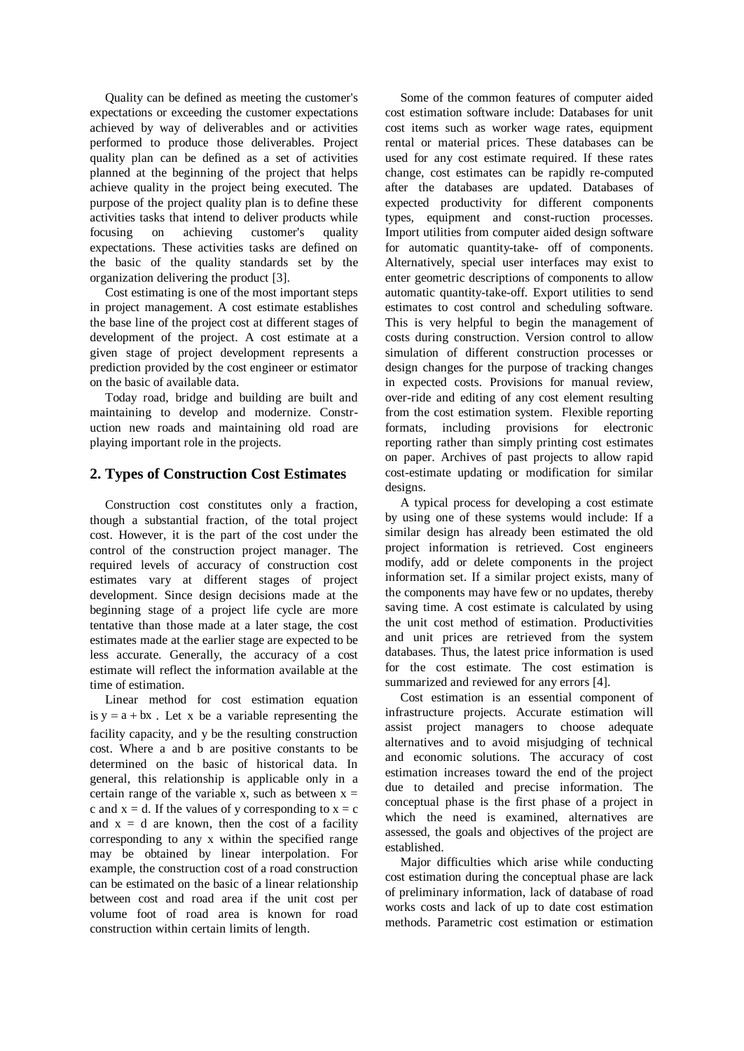Quality can be defined as meeting the customer's expectations or exceeding the customer expectations achieved by way of deliverables and or activities performed to produce those deliverables. Project quality plan can be defined as a set of activities planned at the beginning of the project that helps achieve quality in the project being executed. The purpose of the project quality plan is to define these activities tasks that intend to deliver products while focusing on achieving customer's quality expectations. These activities tasks are defined on the basic of the quality standards set by the organization delivering the product [3].

Cost estimating is one of the most important steps in project management. A cost estimate establishes the base line of the project cost at different stages of development of the project. A cost estimate at a given stage of project development represents a prediction provided by the cost engineer or estimator on the basic of available data.

Today road, bridge and building are built and maintaining to develop and modernize. Construction new roads and maintaining old road are playing important role in the projects.

## **2. Types of Construction Cost Estimates**

Construction cost constitutes only a fraction, though a substantial fraction, of the total project cost. However, it is the part of the cost under the control of the construction project manager. The required levels of accuracy of construction cost estimates vary at different stages of project development. Since design decisions made at the beginning stage of a project life cycle are more tentative than those made at a later stage, the cost estimates made at the earlier stage are expected to be less accurate. Generally, the accuracy of a cost estimate will reflect the information available at the time of estimation.

Linear method for cost estimation equation is  $y = a + bx$ . Let x be a variable representing the facility capacity, and y be the resulting construction cost. Where a and b are positive constants to be determined on the basic of historical data. In general, this relationship is applicable only in a certain range of the variable x, such as between  $x =$ c and  $x = d$ . If the values of y corresponding to  $x = c$ and  $x = d$  are known, then the cost of a facility corresponding to any x within the specified range may be obtained by linear interpolation. For example, the construction cost of a road construction can be estimated on the basic of a linear relationship between cost and road area if the unit cost per volume foot of road area is known for road construction within certain limits of length.

Some of the common features of computer aided cost estimation software include: Databases for unit cost items such as worker wage rates, equipment rental or material prices. These databases can be used for any cost estimate required. If these rates change, cost estimates can be rapidly re-computed after the databases are updated. Databases of expected productivity for different components types, equipment and const-ruction processes. Import utilities from computer aided design software for automatic quantity-take- off of components. Alternatively, special user interfaces may exist to enter geometric descriptions of components to allow automatic quantity-take-off. Export utilities to send estimates to cost control and scheduling software. This is very helpful to begin the management of costs during construction. Version control to allow simulation of different construction processes or design changes for the purpose of tracking changes in expected costs. Provisions for manual review, over-ride and editing of any cost element resulting from the cost estimation system. Flexible reporting formats, including provisions for electronic reporting rather than simply printing cost estimates on paper. Archives of past projects to allow rapid cost-estimate updating or modification for similar designs.

A typical process for developing a cost estimate by using one of these systems would include: If a similar design has already been estimated the old project information is retrieved. Cost engineers modify, add or delete components in the project information set. If a similar project exists, many of the components may have few or no updates, thereby saving time. A cost estimate is calculated by using the unit cost method of estimation. Productivities and unit prices are retrieved from the system databases. Thus, the latest price information is used for the cost estimate. The cost estimation is summarized and reviewed for any errors [4].

Cost estimation is an essential component of infrastructure projects. Accurate estimation will assist project managers to choose adequate alternatives and to avoid misjudging of technical and economic solutions. The accuracy of cost estimation increases toward the end of the project due to detailed and precise information. The conceptual phase is the first phase of a project in which the need is examined, alternatives are assessed, the goals and objectives of the project are established.

Major difficulties which arise while conducting cost estimation during the conceptual phase are lack of preliminary information, lack of database of road works costs and lack of up to date cost estimation methods. Parametric cost estimation or estimation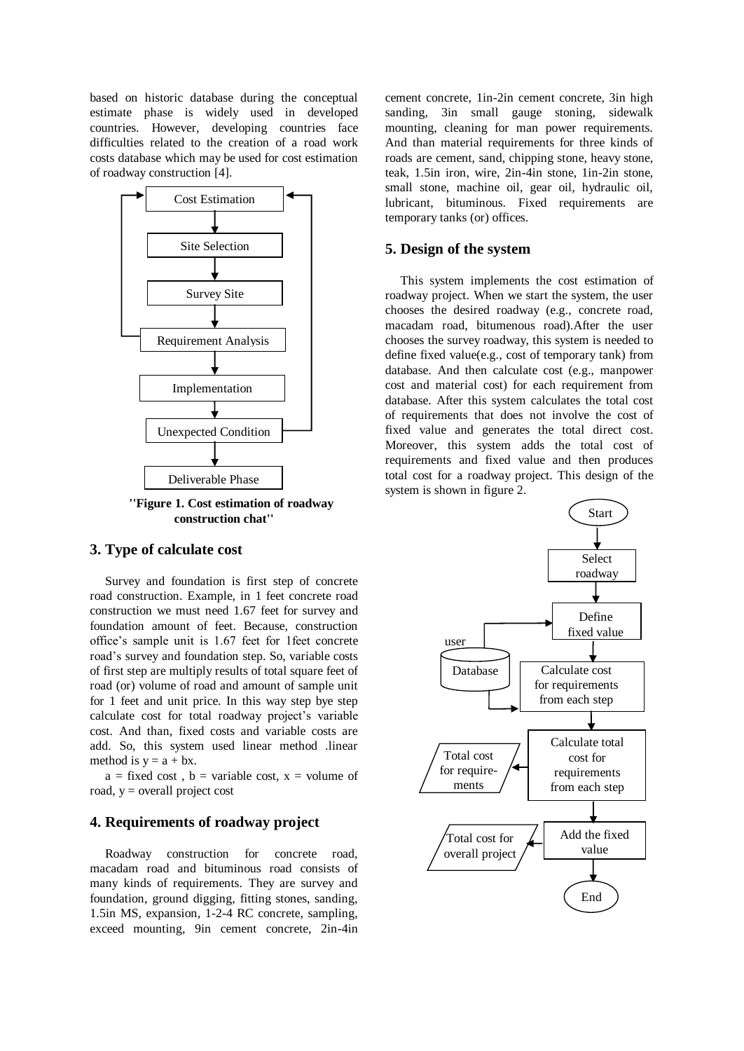based on historic database during the conceptual estimate phase is widely used in developed countries. However, developing countries face difficulties related to the creation of a road work costs database which may be used for cost estimation of roadway construction [4].



**''Figure 1. Cost estimation of roadway construction chat''**

#### **3. Type of calculate cost**

Survey and foundation is first step of concrete road construction. Example, in 1 feet concrete road construction we must need 1.67 feet for survey and foundation amount of feet. Because, construction office's sample unit is 1.67 feet for 1feet concrete road's survey and foundation step. So, variable costs of first step are multiply results of total square feet of road (or) volume of road and amount of sample unit for 1 feet and unit price. In this way step bye step calculate cost for total roadway project's variable cost. And than, fixed costs and variable costs are add. So, this system used linear method .linear method is  $y = a + bx$ .

 $a = fixed cost$ ,  $b = variable cost$ ,  $x = volume of$ road,  $y =$  overall project cost

#### **4. Requirements of roadway project**

Roadway construction for concrete road, macadam road and bituminous road consists of many kinds of requirements. They are survey and foundation, ground digging, fitting stones, sanding, 1.5in MS, expansion, 1-2-4 RC concrete, sampling, exceed mounting, 9in cement concrete, 2in-4in cement concrete, 1in-2in cement concrete, 3in high sanding, 3in small gauge stoning, sidewalk mounting, cleaning for man power requirements. And than material requirements for three kinds of roads are cement, sand, chipping stone, heavy stone, teak, 1.5in iron, wire, 2in-4in stone, 1in-2in stone, small stone, machine oil, gear oil, hydraulic oil, lubricant, bituminous. Fixed requirements are temporary tanks (or) offices.

#### **5. Design of the system**

This system implements the cost estimation of roadway project. When we start the system, the user chooses the desired roadway (e.g., concrete road, macadam road, bitumenous road).After the user chooses the survey roadway, this system is needed to define fixed value(e.g., cost of temporary tank) from database. And then calculate cost (e.g., manpower cost and material cost) for each requirement from database. After this system calculates the total cost of requirements that does not involve the cost of fixed value and generates the total direct cost. Moreover, this system adds the total cost of requirements and fixed value and then produces total cost for a roadway project. This design of the system is shown in figure 2.